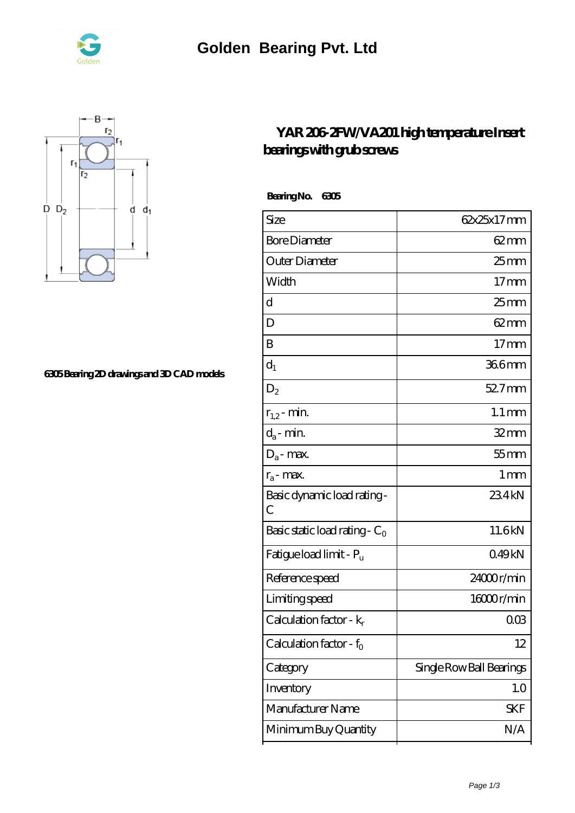



## **[6305 Bearing 2D drawings and 3D CAD models](https://nrflci.com/pic-64670763.html)**

## **[YAR 206-2FW/VA201 high temperature Insert](https://nrflci.com/china-64670763-yar-206-2fw-va201-high-temperature-insert-bearings-with-grub-screws.html) [bearings with grub screws](https://nrflci.com/china-64670763-yar-206-2fw-va201-high-temperature-insert-bearings-with-grub-screws.html)**

 **Bearing No. 6305**

| Size                             | 62x25x17mm               |
|----------------------------------|--------------------------|
| <b>Bore Diameter</b>             | $62 \text{mm}$           |
| Outer Diameter                   | $25$ <sub>mm</sub>       |
| Width                            | $17 \text{mm}$           |
| d                                | 25 <sub>mm</sub>         |
| D                                | $62 \text{mm}$           |
| B                                | $17 \text{mm}$           |
| $d_1$                            | 366mm                    |
| $D_2$                            | $527$ mm                 |
| $r_{1,2}$ - min.                 | $1.1 \,\mathrm{mm}$      |
| $d_a$ - min.                     | $32$ mm                  |
| $D_a$ - max.                     | $55$ mm                  |
| $r_a$ - max.                     | $1 \,\mathrm{mm}$        |
| Basic dynamic load rating-<br>С  | 234kN                    |
| Basic static load rating - $C_0$ | 11.6kN                   |
| Fatigue load limit - Pu          | 049kN                    |
| Reference speed                  | 24000r/min               |
| Limiting speed                   | 16000r/min               |
| Calculation factor - $k_r$       | ΟŒ                       |
| Calculation factor - $f_0$       | 12                       |
| Category                         | Single Row Ball Bearings |
| Inventory                        | 1.0                      |
| Manufacturer Name                | SKF                      |
| Minimum Buy Quantity             | N/A                      |
|                                  |                          |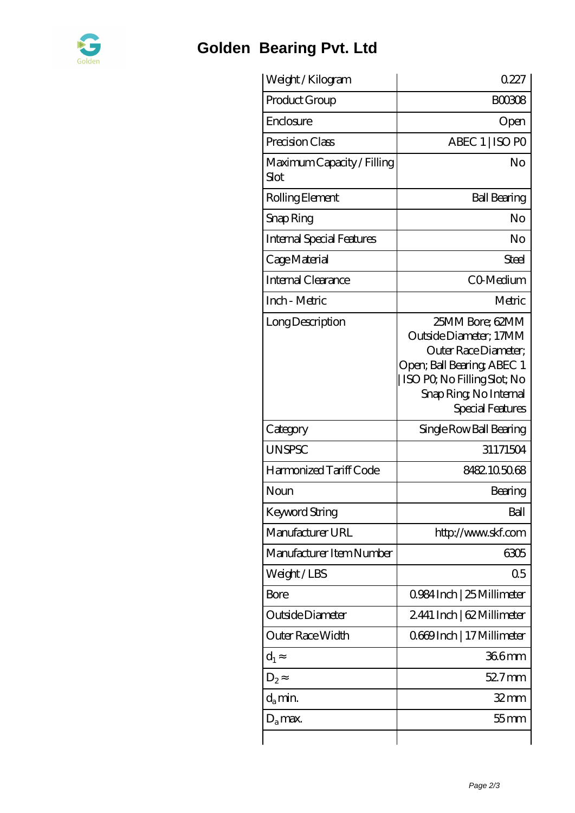

## **[Golden Bearing Pvt. Ltd](https://nrflci.com)**

| Weight /Kilogram                   | 0227                                                                                                                                                                         |
|------------------------------------|------------------------------------------------------------------------------------------------------------------------------------------------------------------------------|
| Product Group                      | <b>BOO308</b>                                                                                                                                                                |
| Enclosure                          | Open                                                                                                                                                                         |
| Precision Class                    | ABEC 1   ISO PO                                                                                                                                                              |
| Maximum Capacity / Filling<br>Slot | No                                                                                                                                                                           |
| Rolling Element                    | <b>Ball Bearing</b>                                                                                                                                                          |
| Snap Ring                          | No                                                                                                                                                                           |
| <b>Internal Special Features</b>   | No                                                                                                                                                                           |
| Cage Material                      | Steel                                                                                                                                                                        |
| Internal Clearance                 | CO-Medium                                                                                                                                                                    |
| Inch - Metric                      | Metric                                                                                                                                                                       |
| Long Description                   | 25MM Bore; 62MM<br>Outside Diameter; 17MM<br>Outer Race Diameter;<br>Open; Ball Bearing; ABEC 1<br>ISO PO, No Filling Slot; No<br>Snap Ring, No Internal<br>Special Features |
| Category                           | Single Row Ball Bearing                                                                                                                                                      |
| <b>UNSPSC</b>                      | 31171504                                                                                                                                                                     |
| Harmonized Tariff Code             | 8482105068                                                                                                                                                                   |
| Noun                               | Bearing                                                                                                                                                                      |
| <b>Keyword String</b>              | Ball                                                                                                                                                                         |
| Manufacturer URL                   | http://www.skf.com                                                                                                                                                           |
| Manufacturer Item Number           | 6305                                                                                                                                                                         |
| Weight/LBS                         | 0 <sub>5</sub>                                                                                                                                                               |
| Bore                               | 0.984 Inch   25 Millimeter                                                                                                                                                   |
| Outside Diameter                   | 2441 Inch   62 Millimeter                                                                                                                                                    |
| Outer Race Width                   | 0669Inch   17 Millimeter                                                                                                                                                     |
| $d_1$                              | 366mm                                                                                                                                                                        |
| $D_2$                              | 52.7mm                                                                                                                                                                       |
| $d_{a}$ min.                       | $32$ mm                                                                                                                                                                      |
| $D_a$ max.                         | 55 mm                                                                                                                                                                        |
|                                    |                                                                                                                                                                              |